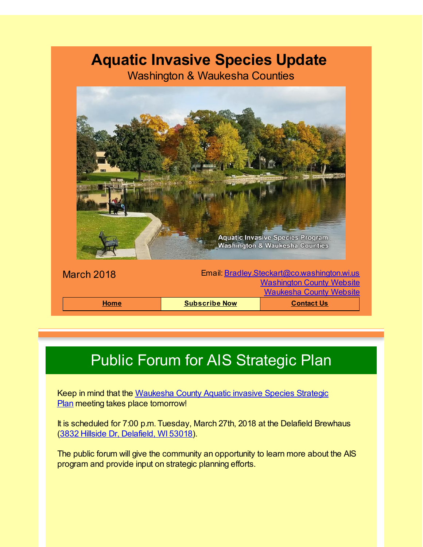### **Aquatic Invasive Species Update**

Washington & Waukesha Counties



# Public Forum for AIS Strategic Plan

Keep in mind that the [Waukesha](http://r20.rs6.net/tn.jsp?f=0019rlnD0gZBVUJX_FE6Wb0qoI5bNebwPf4qm9Q8HaNLBM0iJmLWvb6fLmKJmvTYXPCNbtgjrtNBarSxaVNJcF82QHnDao3QTQxkrMA4ZT9GTvjRlHcxOgHhYB1yqwZ6J8Z9Kt_ralFQVYT1iu1TnI9d4m_APK0tE_imcESsQkORdq3L3l3Kack2d9ynzrX2BvxHxojGvI-PDB-ZSPwLg8M87fgEpvWMbr-eikGP91I1JlzzymMRAjosvIrnHSBcoxkeSmh7uquOe9FHUTMSGbKFsVtVMXmPGxUyy8dw7uFgT-wiIRCfeIGXf68_3xUMTjd06Tsbte7cCUGQwd1ratJU6H28lDZMuFBYdbbQahvagLeqwg4t3tmrq2QmPfZ8Ro3lCK3RKpNhDo=&c=&ch=) County Aquatic invasive Species Strategic Plan meeting takes place tomorrow!

It is scheduled for 7:00 p.m. Tuesday, March 27th, 2018 at the Delafield Brewhaus (3832 Hillside Dr, [Delafield,](http://r20.rs6.net/tn.jsp?f=0019rlnD0gZBVUJX_FE6Wb0qoI5bNebwPf4qm9Q8HaNLBM0iJmLWvb6fLmKJmvTYXPCQtKl5KD3KS8lvtlQWKy4txkzbL2u-MoHmUM815eH60q318hSiGAQCf0ZqgizGmsc1uM9YIC_LM7UKfIqgnajkDG6aZ_b-ZYSLge1xerPZjfsJMSPIkQd964Jn5d5uPtZNFxVmyEUOiv7JTAWJsv8nx4agk-YGmFPY8I4VfjkC_M8228w5tM4PNkF5cxNa0OI-6U1AD0wNEnzdi_RrxnBGz79SRPXnm6q-9N9lZe4GriNC0m_zV0ESVsqe7JaowghJopVIws2r5ivhppMHv5HmKA2T60e7QYxllx-KqVkPqkZ7Fo2xRok-71VxZTOGKbmRD7FtAg2eMjXwcIc6kKAhQNTWihBCDHL_OuwUdq3CkLQc7xUkW3hNEIt1Npdzp9e4Z0kKNX3-wdU5VJ7aBQRGxIV607l8Nr6ilKhq3UOdAPyjSOXPJF_x68w-49-Y175bdezTse0_fE1UqI9_kKe9a77XvJRNPMna-JQc56qif3xSZkUINs3jn0WVSFtLYZJzcsAdNzIvI8Lo6A-yMBVtC5eJzkuDlg2&c=&ch=) WI 53018).

The public forum will give the community an opportunity to learn more about the AIS program and provide input on strategic planning efforts.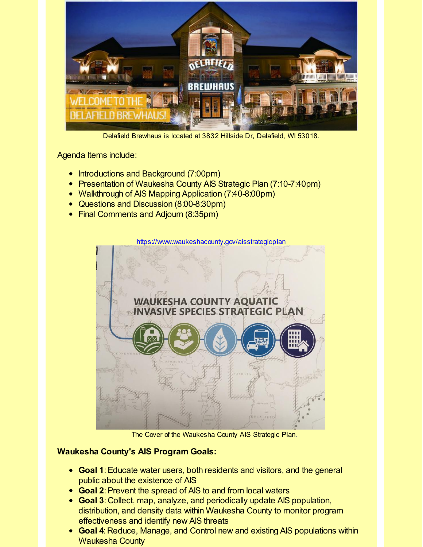

Delafield Brewhaus is located at 3832 Hillside Dr, Delafield, WI 53018.

Agenda Items include:

- Introductions and Background (7:00pm)
- Presentation of Waukesha County AIS Strategic Plan (7:10-7:40pm)
- Walkthrough of AIS Mapping Application (7:40-8:00pm)
- Questions and Discussion (8:00-8:30pm)
- Final Comments and Adjourn (8:35pm)



The Cover of the Waukesha County AIS Strategic Plan.

#### **Waukesha County's AIS Program Goals:**

- **Goal 1**:Educate water users, both residents and visitors, and the general public about the existence of AIS
- **Goal 2**:Prevent the spread of AIS to and from local waters
- **Goal 3**: Collect, map, analyze, and periodically update AIS population, distribution, and density data within Waukesha County to monitor program effectiveness and identify new AIS threats
- **Goal 4**: Reduce, Manage, and Control new and existing AIS populations within Waukesha County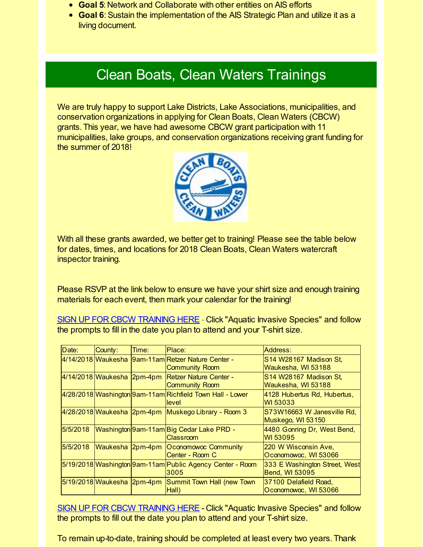- **Goal 5**: Network and Collaborate with other entities on AIS efforts
- **Goal 6**:Sustain the implementation of the AIS Strategic Plan and utilize it as a living document.

#### Clean Boats, Clean Waters Trainings

We are truly happy to support Lake Districts, Lake Associations, municipalities, and conservation organizations in applying for Clean Boats, Clean Waters (CBCW) grants. This year, we have had awesome CBCW grant participation with 11 municipalities, lake groups, and conservation organizations receiving grant funding for the summer of 2018!



With all these grants awarded, we better get to training! Please see the table below for dates, times, and locations for 2018 Clean Boats, Clean Waters watercraft inspector training.

Please RSVP at the link below to ensure we have your shirt size and enough training materials for each event, then mark your calendar for the training!

SIGN UP FOR CBCW [TRAINING](http://r20.rs6.net/tn.jsp?f=0019rlnD0gZBVUJX_FE6Wb0qoI5bNebwPf4qm9Q8HaNLBM0iJmLWvb6fDaW3STer_x38bUWjZUyM4N3Vzriv-K6KTVjTKGC5XkrDuPATQeTo51SR6CfY9J1iJ8eKw7aLecwD-QnSpNTYtA9NLJOUPhWFoFUhwf0EQUBKbD_zzvDuUioOQvihxhCSvhThVvfXuvusDVCZcdmKVv3k6zj015COFZRyc1c0Ofq3sFIrRZ1CIY6Fh_xzAAbxNQ-xO2HDuERBMThdwzUKhDrmrk0RZXAklAZTCDpMHxt64nPpCvRNxxb60xtCewc6wdRXopqmbm6LHISx_rP_OWTiz94FhvpswA6rWbeQ6EF6yn8a-VBOANM80AsNrNsXlMj2zenkuXj15iSuVTQtRob3L0pMIuMtw==&c=&ch=) HERE - Click "Aquatic Invasive Species" and follow the prompts to fill in the date you plan to attend and your T-shirt size.

| Date:    | County: | Time: | Place:                                                                      | Address:                                               |  |
|----------|---------|-------|-----------------------------------------------------------------------------|--------------------------------------------------------|--|
|          |         |       | 4/14/2018 Waukesha 9am-11am Retzer Nature Center -<br><b>Community Room</b> | S14 W28167 Madison St,<br>Waukesha, WI 53188           |  |
|          |         |       | 4/14/2018 Waukesha 2pm-4pm Retzer Nature Center -<br><b>Community Room</b>  | S14 W28167 Madison St,<br>Waukesha, WI 53188           |  |
|          |         |       | 4/28/2018 Washington 9am-11am Richfield Town Hall - Lower<br>llevel         | 4128 Hubertus Rd, Hubertus,<br>WI 53033                |  |
|          |         |       | 4/28/2018 Waukesha 2pm-4pm Muskego Library - Room 3                         | S73W16663 W Janesville Rd,<br>Muskego, WI 53150        |  |
| 5/5/2018 |         |       | Washington 9am-11am Big Cedar Lake PRD -<br><b>Classroom</b>                | 4480 Gonring Dr, West Bend,<br>WI 53095                |  |
| 5/5/2018 |         |       | Waukesha 2pm-4pm Oconomowoc Community<br>Center - Room C                    | 220 W Wisconsin Ave,<br>Oconomowoc, WI 53066           |  |
|          |         |       | 5/19/2018 Washington 9am-11am Public Agency Center - Room<br>3005           | 333 E Washington Street, West<br><b>Bend, WI 53095</b> |  |
|          |         |       | 5/19/2018 Waukesha 2pm-4pm Summit Town Hall (new Town<br>(Hall              | 37100 Delafield Road,<br>Oconomowoc, WI 53066          |  |

SIGN UP FOR CBCW [TRAINING](http://r20.rs6.net/tn.jsp?f=0019rlnD0gZBVUJX_FE6Wb0qoI5bNebwPf4qm9Q8HaNLBM0iJmLWvb6fDaW3STer_x38bUWjZUyM4N3Vzriv-K6KTVjTKGC5XkrDuPATQeTo51SR6CfY9J1iJ8eKw7aLecwD-QnSpNTYtA9NLJOUPhWFoFUhwf0EQUBKbD_zzvDuUioOQvihxhCSvhThVvfXuvusDVCZcdmKVv3k6zj015COFZRyc1c0Ofq3sFIrRZ1CIY6Fh_xzAAbxNQ-xO2HDuERBMThdwzUKhDrmrk0RZXAklAZTCDpMHxt64nPpCvRNxxb60xtCewc6wdRXopqmbm6LHISx_rP_OWTiz94FhvpswA6rWbeQ6EF6yn8a-VBOANM80AsNrNsXlMj2zenkuXj15iSuVTQtRob3L0pMIuMtw==&c=&ch=) HERE - Click "Aquatic Invasive Species" and follow the prompts to fill out the date you plan to attend and your T-shirt size.

To remain up-to-date, training should be completed at least every two years. Thank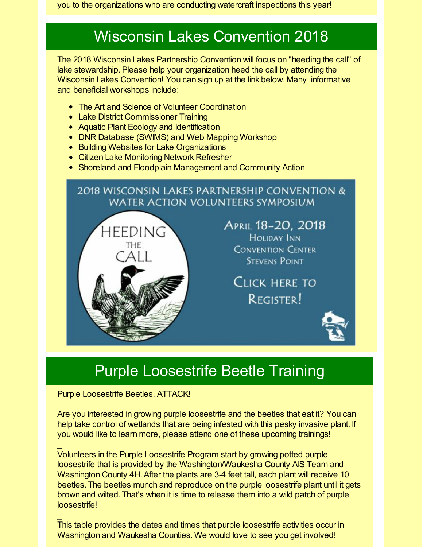you to the organizations who are conducting watercraft inspections this year!

## Wisconsin Lakes Convention 2018

The 2018 Wisconsin Lakes Partnership Convention will focus on "heeding the call" of lake stewardship. Please help your organization heed the call by attending the Wisconsin Lakes Convention! You can sign up at the link below. Many informative and beneficial workshops include:

- The Art and Science of Volunteer Coordination
- Lake District Commissioner Training
- Aquatic Plant Ecology and Identification
- DNR Database (SWIMS) and Web Mapping Workshop
- **Building Websites for Lake Organizations**
- **Citizen Lake Monitoring Network Refresher**
- Shoreland and Floodplain Management and Community Action

#### 2018 WISCONSIN LAKES PARTNERSHIP CONVENTION & WATER ACTION VOLUNTEERS SYMPOSIUM



APRIL 18-20, 2018 **HOLIDAY INN CONVENTION CENTER STEVENS POINT** 

Click here to REGISTER!



### Purple Loosestrife Beetle Training

Purple Loosestrife Beetles, ATTACK!

 $\mathbf{r}$ 

 $\mathbf{r}$ 

 $\mathbf{r}$ 

Are you interested in growing purple loosestrife and the beetles that eat it? You can help take control of wetlands that are being infested with this pesky invasive plant. If you would like to learn more, please attend one of these upcoming trainings!

Volunteers in the Purple Loosestrife Program start by growing potted purple loosestrife that is provided by the Washington/Waukesha County AIS Team and Washington County 4H. After the plants are 3-4 feet tall, each plant will receive 10 beetles. The beetles munch and reproduce on the purple loosestrife plant until it gets brown and wilted. That's when it is time to release them into a wild patch of purple loosestrife!

This table provides the dates and times that purple loosestrife activities occur in Washington and Waukesha Counties. We would love to see you get involved!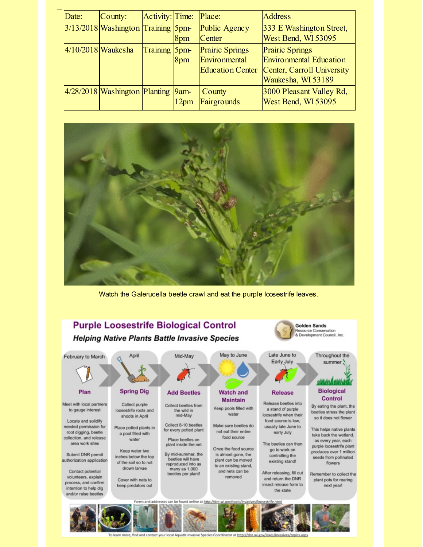| Date:                | County:                            | Activity: Time: Place: |                             |                                                                    | <b>Address</b>                                                                                               |
|----------------------|------------------------------------|------------------------|-----------------------------|--------------------------------------------------------------------|--------------------------------------------------------------------------------------------------------------|
|                      | 3/13/2018 Washington Training 5pm- |                        | 8pm                         | Public Agency<br>Center                                            | 333 E Washington Street,<br>West Bend, WI 53095                                                              |
| $4/10/2018$ Waukesha |                                    | Training 5pm-          | 8 <sub>pm</sub>             | <b>Prairie Springs</b><br>Environmental<br><b>Education Center</b> | <b>Prairie Springs</b><br><b>Environmental Education</b><br>Center, Carroll University<br>Waukesha, WI 53189 |
|                      | $4/28/2018$ Washington Planting    |                        | $9$ am-<br>12 <sub>pm</sub> | County<br>Fairgrounds                                              | 3000 Pleasant Valley Rd,<br>West Bend, WI 53095                                                              |



Watch the Galerucella beetle crawl and eat the purple loosestrife leaves.



nore, find and contact your local Aquatic Invasive Species Coordinator at http://dnr.wi.gov/lakes/invasives/topics.aspx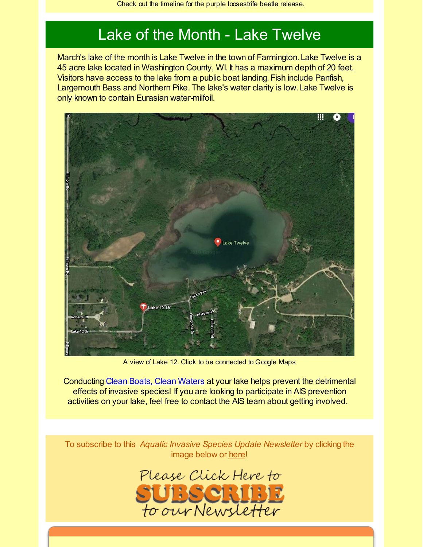#### Lake of the Month - Lake Twelve

March's lake of the month is Lake Twelve in the town of Farmington. Lake Twelve is a 45 acre lake located in Washington County, WI. It has a maximum depth of 20 feet. Visitors have access to the lake from a public boat landing. Fish include Panfish, Largemouth Bass and Northern Pike. The lake's water clarity is low. Lake Twelve is only known to contain Eurasian water-milfoil.



A view of Lake 12. Click to be connected to Google Maps

Conducting Clean Boats, Clean [Waters](http://r20.rs6.net/tn.jsp?f=0019rlnD0gZBVUJX_FE6Wb0qoI5bNebwPf4qm9Q8HaNLBM0iJmLWvb6fBBCXG0JeXdFC5AKP3SDTLa1gqqq_fCIQvoQkGpknmDrfl76B7bqvbx272qpG9lvJON0tgYGeSn2cxsm73pOWOPOj8rjzPB3oPhNmVT14JUwIf7znh1DeybaoArcQt_-P3UHIham2WQ8sNRRzYLixSQll6WNcirWOT0A-AcaUOe0rWeGq5jvegDBwt0ZIUj_UsPfgwqG2Aq2aLyne00w_PEW275Bg3j0Rn8QYDLfU15zovCgyYRHC3DCqNIfNBFetl15duKlXMqzs0tJyKyvMb_uMFOrNJXaJTyIUvQPOclemlC6Ndv5u7ULIlVC2_I97Q==&c=&ch=) at your lake helps prevent the detrimental effects of invasive species! If you are looking to participate in AIS prevention activities on your lake, feel free to contact the AIS team about getting involved.

To subscribe to this *Aquatic Invasive Species Update Newsletter* by clicking the image below or [here](http://visitor.r20.constantcontact.com/d.jsp?llr=kfohqmcab&p=oi&m=1102078785706&sit=mdwsaogdb&f=72c567dd-ea1f-46d9-a3b3-0487646a78a3)!